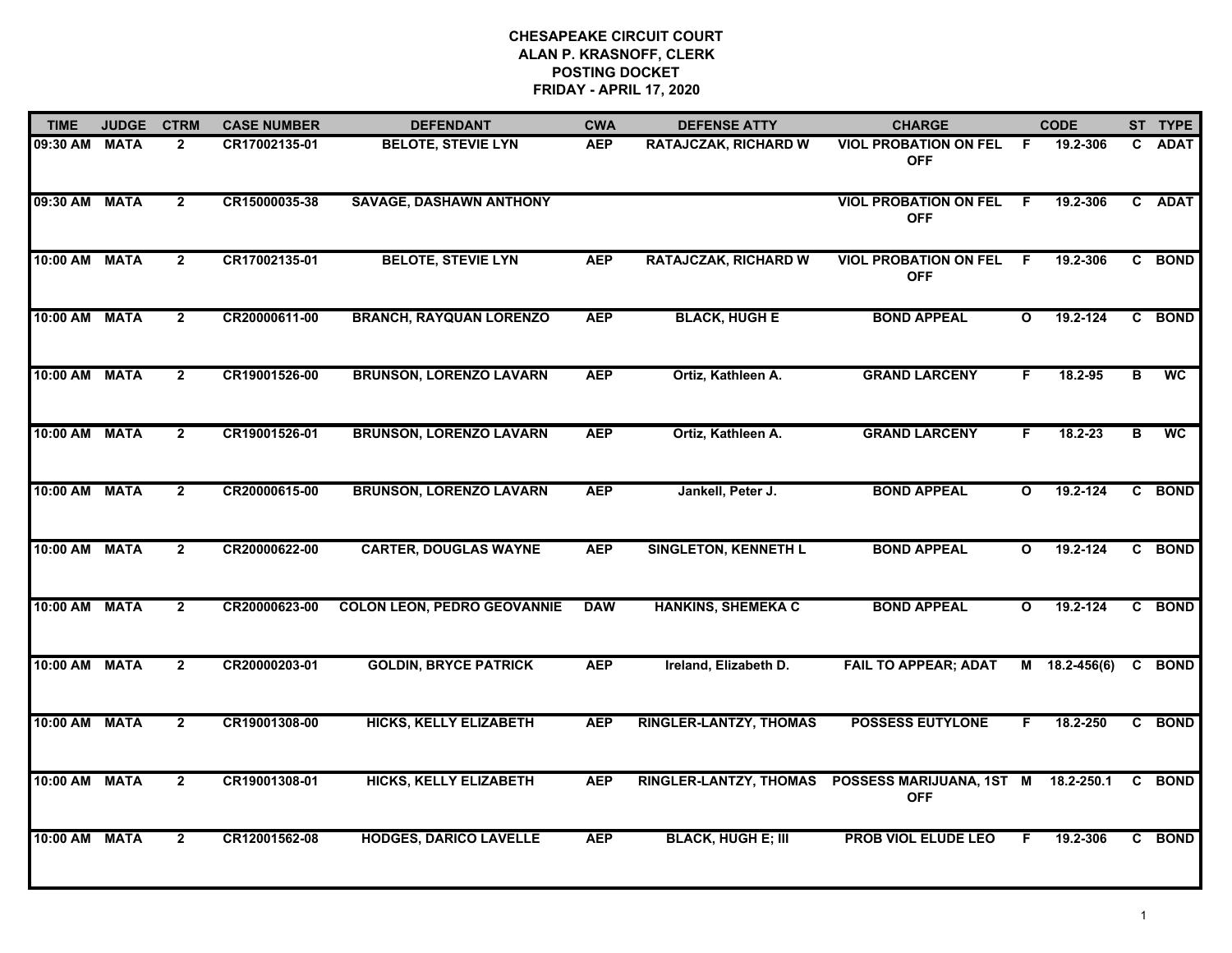## **CHESAPEAKE CIRCUIT COURT ALAN P. KRASNOFF, CLERK POSTING DOCKET FRIDAY - APRIL 17, 2020**

| <b>TIME</b>   | <b>JUDGE</b> | <b>CTRM</b>    | <b>CASE NUMBER</b> | <b>DEFENDANT</b>                   | <b>CWA</b> | <b>DEFENSE ATTY</b>           | <b>CHARGE</b>                              |              | <b>CODE</b>     |              | ST TYPE     |
|---------------|--------------|----------------|--------------------|------------------------------------|------------|-------------------------------|--------------------------------------------|--------------|-----------------|--------------|-------------|
| 09:30 AM      | <b>MATA</b>  | $\overline{2}$ | CR17002135-01      | <b>BELOTE, STEVIE LYN</b>          | <b>AEP</b> | <b>RATAJCZAK, RICHARD W</b>   | <b>VIOL PROBATION ON FEL</b><br><b>OFF</b> | -F           | 19.2-306        | C.           | <b>ADAT</b> |
| 09:30 AM MATA |              | $\mathbf{2}$   | CR15000035-38      | <b>SAVAGE, DASHAWN ANTHONY</b>     |            |                               | <b>VIOL PROBATION ON FEL</b><br><b>OFF</b> | -F           | 19.2-306        |              | C ADAT      |
| 10:00 AM MATA |              | $\overline{2}$ | CR17002135-01      | <b>BELOTE, STEVIE LYN</b>          | <b>AEP</b> | <b>RATAJCZAK, RICHARD W</b>   | <b>VIOL PROBATION ON FEL</b><br><b>OFF</b> | -F           | 19.2-306        |              | C BOND      |
| 10:00 AM MATA |              | $\overline{2}$ | CR20000611-00      | <b>BRANCH, RAYQUAN LORENZO</b>     | <b>AEP</b> | <b>BLACK, HUGH E</b>          | <b>BOND APPEAL</b>                         | $\mathbf{o}$ | 19.2-124        | $\mathbf{c}$ | <b>BOND</b> |
| 10:00 AM MATA |              | $\overline{2}$ | CR19001526-00      | <b>BRUNSON, LORENZO LAVARN</b>     | <b>AEP</b> | Ortiz, Kathleen A.            | <b>GRAND LARCENY</b>                       | F            | 18.2-95         | В            | <b>WC</b>   |
| 10:00 AM MATA |              | $\overline{2}$ | CR19001526-01      | <b>BRUNSON, LORENZO LAVARN</b>     | <b>AEP</b> | Ortiz, Kathleen A.            | <b>GRAND LARCENY</b>                       | F.           | 18.2-23         | в            | <b>WC</b>   |
| 10:00 AM MATA |              | $\overline{2}$ | CR20000615-00      | <b>BRUNSON, LORENZO LAVARN</b>     | <b>AEP</b> | Jankell, Peter J.             | <b>BOND APPEAL</b>                         | $\mathbf{o}$ | 19.2-124        |              | C BOND      |
| 10:00 AM MATA |              | $\mathbf{2}$   | CR20000622-00      | <b>CARTER, DOUGLAS WAYNE</b>       | <b>AEP</b> | <b>SINGLETON, KENNETH L</b>   | <b>BOND APPEAL</b>                         | $\mathbf{o}$ | 19.2-124        |              | C BOND      |
| 10:00 AM MATA |              | $\mathbf{2}$   | CR20000623-00      | <b>COLON LEON, PEDRO GEOVANNIE</b> | <b>DAW</b> | <b>HANKINS, SHEMEKA C</b>     | <b>BOND APPEAL</b>                         | $\mathbf{o}$ | $19.2 - 124$    |              | C BOND      |
| 10:00 AM MATA |              | $\overline{2}$ | CR20000203-01      | <b>GOLDIN, BRYCE PATRICK</b>       | <b>AEP</b> | Ireland, Elizabeth D.         | <b>FAIL TO APPEAR; ADAT</b>                |              | $M$ 18.2-456(6) | $\mathbf{c}$ | <b>BOND</b> |
| 10:00 AM MATA |              | $\overline{2}$ | CR19001308-00      | <b>HICKS, KELLY ELIZABETH</b>      | <b>AEP</b> | RINGLER-LANTZY, THOMAS        | <b>POSSESS EUTYLONE</b>                    | F            | 18.2-250        | C            | <b>BOND</b> |
| 10:00 AM MATA |              | $\overline{2}$ | CR19001308-01      | <b>HICKS, KELLY ELIZABETH</b>      | <b>AEP</b> | <b>RINGLER-LANTZY, THOMAS</b> | POSSESS MARIJUANA, 1ST M<br><b>OFF</b>     |              | 18.2-250.1      | $\mathbf{c}$ | <b>BOND</b> |
| 10:00 AM MATA |              | $\mathbf{2}$   | CR12001562-08      | <b>HODGES, DARICO LAVELLE</b>      | <b>AEP</b> | <b>BLACK, HUGH E; III</b>     | <b>PROB VIOL ELUDE LEO</b>                 | F            | 19.2-306        |              | C BOND      |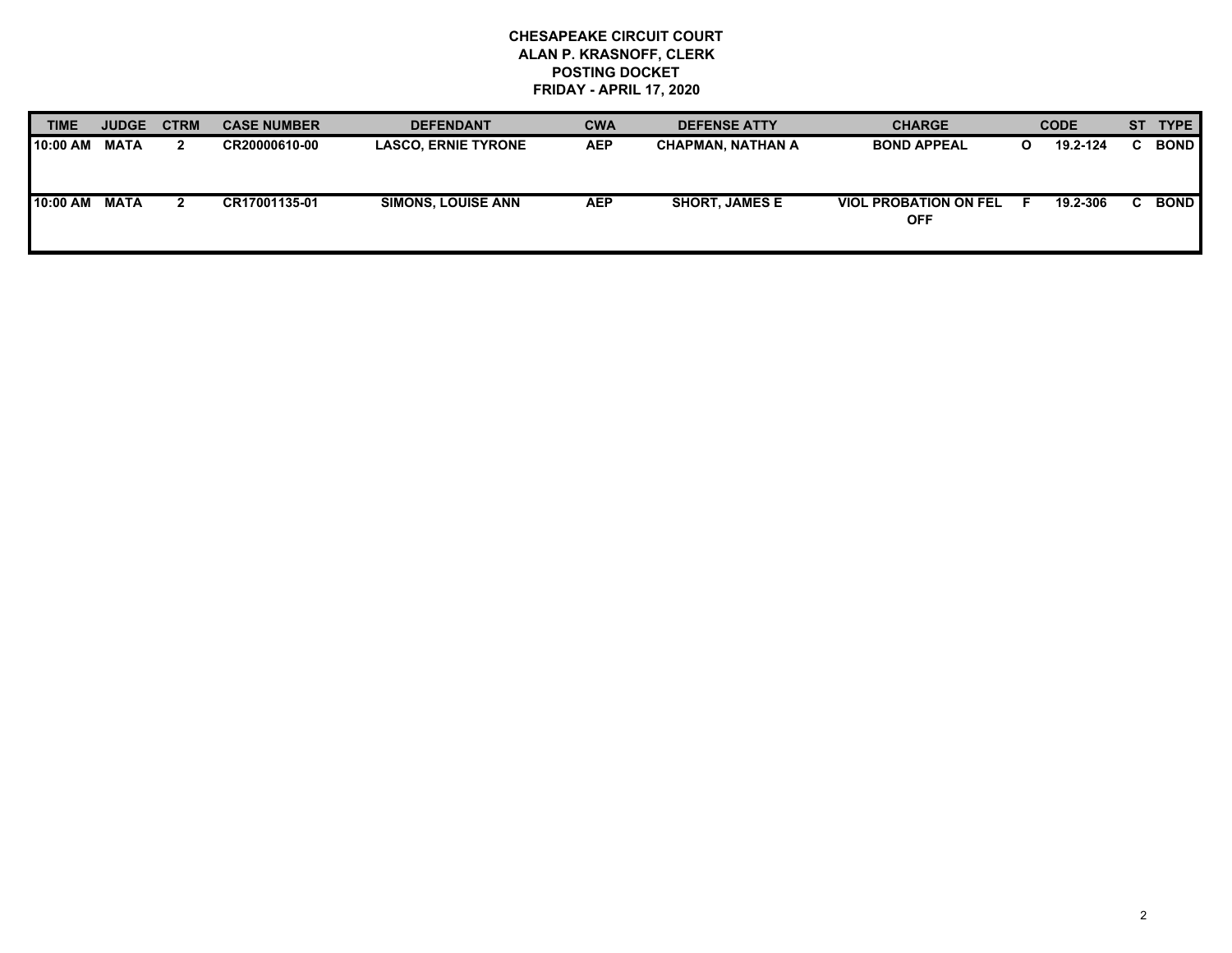## **CHESAPEAKE CIRCUIT COURT ALAN P. KRASNOFF, CLERK POSTING DOCKET FRIDAY - APRIL 17, 2020**

| TIME     | <b>JUDGE</b> | <b>CTRM</b> | <b>CASE NUMBER</b> | <b>DEFENDANT</b>           | <b>CWA</b> | <b>DEFENSE ATTY</b>   | <b>CHARGE</b>                              | <b>CODE</b> | ST TYPE     |
|----------|--------------|-------------|--------------------|----------------------------|------------|-----------------------|--------------------------------------------|-------------|-------------|
| 10:00 AM | <b>MATA</b>  |             | CR20000610-00      | <b>LASCO, ERNIE TYRONE</b> | <b>AEP</b> | CHAPMAN, NATHAN A     | <b>BOND APPEAL</b>                         | 19.2-124    | <b>BOND</b> |
| 10:00 AM | <b>MATA</b>  |             | CR17001135-01      | <b>SIMONS, LOUISE ANN</b>  | <b>AEP</b> | <b>SHORT, JAMES E</b> | <b>VIOL PROBATION ON FEL</b><br><b>OFF</b> | 19.2-306    | <b>BOND</b> |